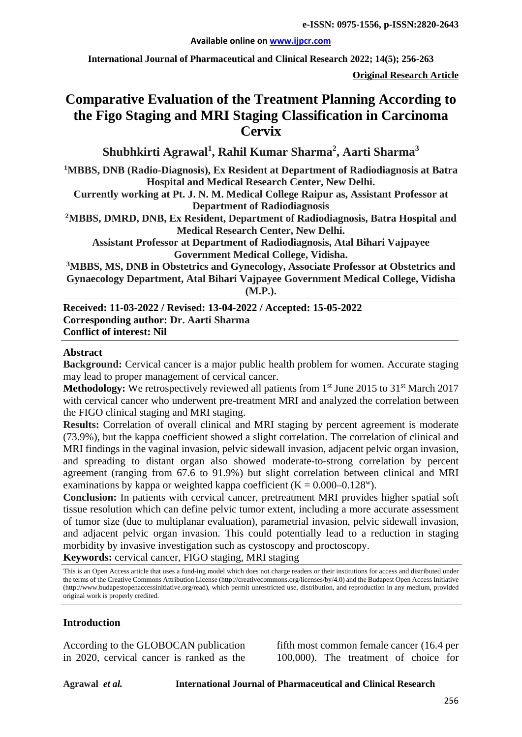#### **Available online on [www.ijpcr.com](http://www.ijpcr.com/)**

**International Journal of Pharmaceutical and Clinical Research 2022; 14(5); 256-263**

**Original Research Article**

# **Comparative Evaluation of the Treatment Planning According to the Figo Staging and MRI Staging Classification in Carcinoma Cervix**

**Shubhkirti Agrawal<sup>1</sup> , Rahil Kumar Sharma<sup>2</sup> , Aarti Sharma<sup>3</sup>**

**1 MBBS, DNB (Radio-Diagnosis), Ex Resident at Department of Radiodiagnosis at Batra Hospital and Medical Research Center, New Delhi.**

**Currently working at Pt. J. N. M. Medical College Raipur as, Assistant Professor at Department of Radiodiagnosis**

**2MBBS, DMRD, DNB, Ex Resident, Department of Radiodiagnosis, Batra Hospital and Medical Research Center, New Delhi.**

**Assistant Professor at Department of Radiodiagnosis, Atal Bihari Vajpayee Government Medical College, Vidisha.**

**3MBBS, MS, DNB in Obstetrics and Gynecology, Associate Professor at Obstetrics and Gynaecology Department, Atal Bihari Vajpayee Government Medical College, Vidisha (M.P.).**

**Received: 11-03-2022 / Revised: 13-04-2022 / Accepted: 15-05-2022 Corresponding author: Dr. Aarti Sharma Conflict of interest: Nil**

#### **Abstract**

**Background:** Cervical cancer is a major public health problem for women. Accurate staging may lead to proper management of cervical cancer.

**Methodology:** We retrospectively reviewed all patients from 1<sup>st</sup> June 2015 to 31<sup>st</sup> March 2017 with cervical cancer who underwent pre-treatment MRI and analyzed the correlation between the FIGO clinical staging and MRI staging.

**Results:** Correlation of overall clinical and MRI staging by percent agreement is moderate (73.9%), but the kappa coefficient showed a slight correlation. The correlation of clinical and MRI findings in the vaginal invasion, pelvic sidewall invasion, adjacent pelvic organ invasion, and spreading to distant organ also showed moderate-to-strong correlation by percent agreement (ranging from 67.6 to 91.9%) but slight correlation between clinical and MRI examinations by kappa or weighted kappa coefficient  $(K = 0.000 - 0.128^{\text{w}})$ .

**Conclusion:** In patients with cervical cancer, pretreatment MRI provides higher spatial soft tissue resolution which can define pelvic tumor extent, including a more accurate assessment of tumor size (due to multiplanar evaluation), parametrial invasion, pelvic sidewall invasion, and adjacent pelvic organ invasion. This could potentially lead to a reduction in staging morbidity by invasive investigation such as cystoscopy and proctoscopy.

**Keywords:** cervical cancer, FIGO staging, MRI staging

This is an Open Access article that uses a fund-ing model which does not charge readers or their institutions for access and distributed under the terms of the Creative Commons Attribution License (http://creativecommons.org/licenses/by/4.0) and the Budapest Open Access Initiative (http://www.budapestopenaccessinitiative.org/read), which permit unrestricted use, distribution, and reproduction in any medium, provided original work is properly credited.

#### **Introduction**

According to the GLOBOCAN publication in 2020, cervical cancer is ranked as the fifth most common female cancer (16.4 per 100,000). The treatment of choice for

**Agrawal** *et al.* **International Journal of Pharmaceutical and Clinical Research**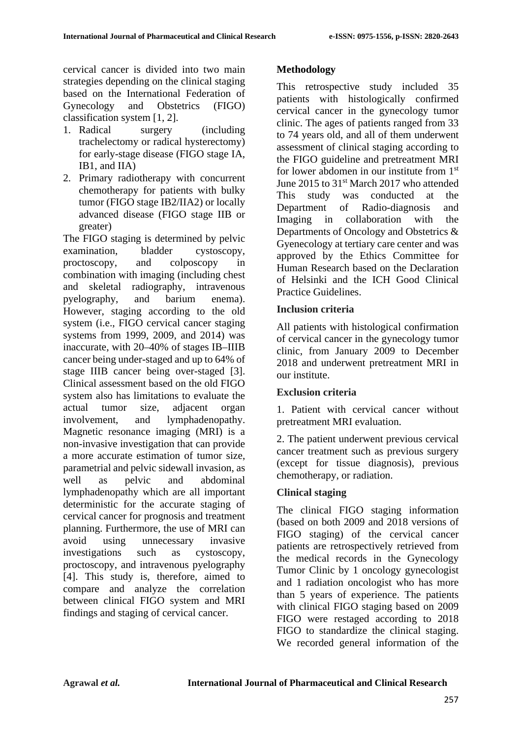cervical cancer is divided into two main strategies depending on the clinical staging based on the International Federation of Gynecology and Obstetrics (FIGO) classification system [1, 2].

- 1. Radical surgery (including trachelectomy or radical hysterectomy) for early-stage disease (FIGO stage IA, IB1, and IIA)
- 2. Primary radiotherapy with concurrent chemotherapy for patients with bulky tumor (FIGO stage IB2/IIA2) or locally advanced disease (FIGO stage IIB or greater)

The FIGO staging is determined by pelvic examination, bladder cystoscopy, proctoscopy, and colposcopy in combination with imaging (including chest and skeletal radiography, intravenous pyelography, and barium enema). However, staging according to the old system (i.e., FIGO cervical cancer staging systems from 1999, 2009, and 2014) was inaccurate, with 20–40% of stages IB–IIIB cancer being under-staged and up to 64% of stage IIIB cancer being over-staged [3]. Clinical assessment based on the old FIGO system also has limitations to evaluate the actual tumor size, adjacent organ involvement, and lymphadenopathy. Magnetic resonance imaging (MRI) is a non-invasive investigation that can provide a more accurate estimation of tumor size, parametrial and pelvic sidewall invasion, as well as pelvic and abdominal lymphadenopathy which are all important deterministic for the accurate staging of cervical cancer for prognosis and treatment planning. Furthermore, the use of MRI can avoid using unnecessary invasive investigations such as cystoscopy, proctoscopy, and intravenous pyelography [4]. This study is, therefore, aimed to compare and analyze the correlation between clinical FIGO system and MRI findings and staging of cervical cancer.

## **Methodology**

This retrospective study included 35 patients with histologically confirmed cervical cancer in the gynecology tumor clinic. The ages of patients ranged from 33 to 74 years old, and all of them underwent assessment of clinical staging according to the FIGO guideline and pretreatment MRI for lower abdomen in our institute from 1st June 2015 to 31<sup>st</sup> March 2017 who attended This study was conducted at the Department of Radio-diagnosis and Imaging in collaboration with the Departments of Oncology and Obstetrics & Gyenecology at tertiary care center and was approved by the Ethics Committee for Human Research based on the Declaration of Helsinki and the ICH Good Clinical Practice Guidelines.

## **Inclusion criteria**

All patients with histological confirmation of cervical cancer in the gynecology tumor clinic, from January 2009 to December 2018 and underwent pretreatment MRI in our institute.

## **Exclusion criteria**

1. Patient with cervical cancer without pretreatment MRI evaluation.

2. The patient underwent previous cervical cancer treatment such as previous surgery (except for tissue diagnosis), previous chemotherapy, or radiation.

## **Clinical staging**

The clinical FIGO staging information (based on both 2009 and 2018 versions of FIGO staging) of the cervical cancer patients are retrospectively retrieved from the medical records in the Gynecology Tumor Clinic by 1 oncology gynecologist and 1 radiation oncologist who has more than 5 years of experience. The patients with clinical FIGO staging based on 2009 FIGO were restaged according to 2018 FIGO to standardize the clinical staging. We recorded general information of the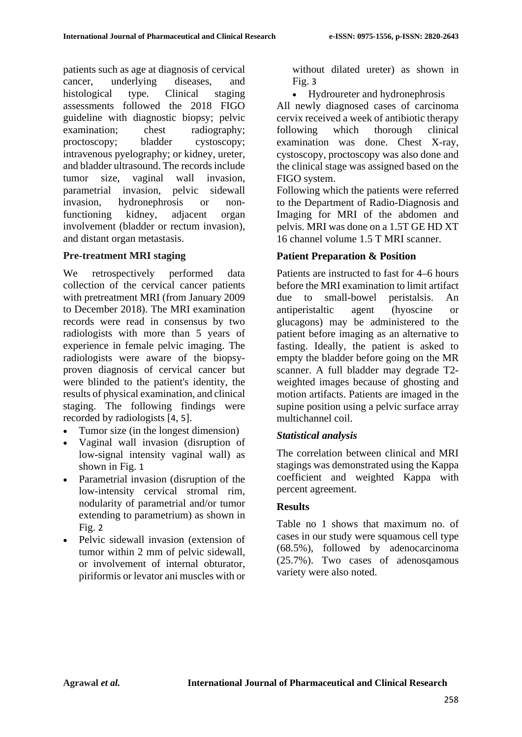patients such as age at diagnosis of cervical cancer, underlying diseases, and histological type. Clinical staging assessments followed the 2018 FIGO guideline with diagnostic biopsy; pelvic examination; chest radiography; proctoscopy; bladder cystoscopy; intravenous pyelography; or kidney, ureter, and bladder ultrasound. The records include tumor size, vaginal wall invasion, parametrial invasion, pelvic sidewall invasion, hydronephrosis or nonfunctioning kidney, adjacent organ involvement (bladder or rectum invasion), and distant organ metastasis.

#### **Pre-treatment MRI staging**

We retrospectively performed data collection of the cervical cancer patients with pretreatment MRI (from January 2009 to December 2018). The MRI examination records were read in consensus by two radiologists with more than 5 years of experience in female pelvic imaging. The radiologists were aware of the biopsyproven diagnosis of cervical cancer but were blinded to the patient's identity, the results of physical examination, and clinical staging. The following findings were recorded by radiologists [[4](https://ejrnm.springeropen.com/articles/10.1186/s43055-021-00544-8#ref-CR4), [5](https://ejrnm.springeropen.com/articles/10.1186/s43055-021-00544-8#ref-CR5)].

- Tumor size (in the longest dimension)
- Vaginal wall invasion (disruption of low-signal intensity vaginal wall) as shown in Fig. [1](https://ejrnm.springeropen.com/articles/10.1186/s43055-021-00544-8#Fig1)
- Parametrial invasion (disruption of the low-intensity cervical stromal rim, nodularity of parametrial and/or tumor extending to parametrium) as shown in Fig. [2](https://ejrnm.springeropen.com/articles/10.1186/s43055-021-00544-8#Fig2)
- Pelvic sidewall invasion (extension of tumor within 2 mm of pelvic sidewall, or involvement of internal obturator, piriformis or levator ani muscles with or

without dilated ureter) as shown in Fig. [3](https://ejrnm.springeropen.com/articles/10.1186/s43055-021-00544-8#Fig3)

• Hydroureter and hydronephrosis

All newly diagnosed cases of carcinoma cervix received a week of antibiotic therapy following which thorough clinical examination was done. Chest X-ray, cystoscopy, proctoscopy was also done and the clinical stage was assigned based on the FIGO system.

Following which the patients were referred to the Department of Radio-Diagnosis and Imaging for MRI of the abdomen and pelvis. MRI was done on a 1.5T GE HD XT 16 channel volume 1.5 T MRI scanner.

# **Patient Preparation & Position**

Patients are instructed to fast for 4–6 hours before the MRI examination to limit artifact due to small-bowel peristalsis. An antiperistaltic agent (hyoscine or glucagons) may be administered to the patient before imaging as an alternative to fasting. Ideally, the patient is asked to empty the bladder before going on the MR scanner. A full bladder may degrade T2 weighted images because of ghosting and motion artifacts. Patients are imaged in the supine position using a pelvic surface array multichannel coil.

## *Statistical analysis*

The correlation between clinical and MRI stagings was demonstrated using the Kappa coefficient and weighted Kappa with percent agreement.

#### **Results**

Table no 1 shows that maximum no. of cases in our study were squamous cell type (68.5%), followed by adenocarcinoma (25.7%). Two cases of adenosqamous variety were also noted.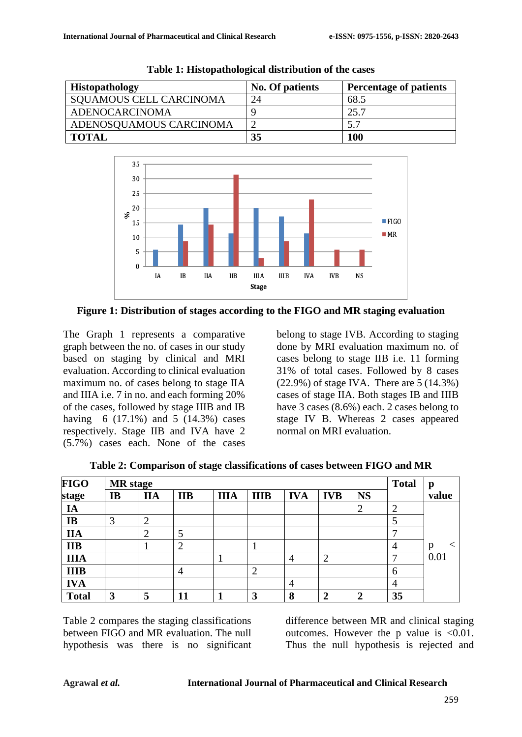| <b>Histopathology</b>          | No. Of patients | <b>Percentage of patients</b> |
|--------------------------------|-----------------|-------------------------------|
| <b>SQUAMOUS CELL CARCINOMA</b> | 24              | 68.5                          |
| ADENOCARCINOMA                 |                 | 25.7                          |
| ADENOSQUAMOUS CARCINOMA        |                 | 5.7                           |
| <b>TOTAL</b>                   | 35              | <b>100</b>                    |

**Table 1: Histopathological distribution of the cases**



**Figure 1: Distribution of stages according to the FIGO and MR staging evaluation**

The Graph 1 represents a comparative graph between the no. of cases in our study based on staging by clinical and MRI evaluation. According to clinical evaluation maximum no. of cases belong to stage IIA and IIIA i.e. 7 in no. and each forming 20% of the cases, followed by stage IIIB and IB having 6 (17.1%) and 5 (14.3%) cases respectively. Stage IIB and IVA have 2 (5.7%) cases each. None of the cases

belong to stage IVB. According to staging done by MRI evaluation maximum no. of cases belong to stage IIB i.e. 11 forming 31% of total cases. Followed by 8 cases (22.9%) of stage IVA. There are 5 (14.3%) cases of stage IIA. Both stages IB and IIIB have 3 cases (8.6%) each. 2 cases belong to stage IV B. Whereas 2 cases appeared normal on MRI evaluation.

| FIGO         | <b>MR</b> stage |    |                |             |             |            |            |           | <b>Total</b>   | p     |
|--------------|-----------------|----|----------------|-------------|-------------|------------|------------|-----------|----------------|-------|
| stage        | IB              | ПA | <b>IIB</b>     | <b>IIIA</b> | <b>IIIB</b> | <b>IVA</b> | <b>IVB</b> | <b>NS</b> |                | value |
| IA           |                 |    |                |             |             |            |            | ∠         | $\overline{2}$ |       |
| <b>IB</b>    | 3               | ി  |                |             |             |            |            |           | 5              |       |
| <b>IIA</b>   |                 | ◠  |                |             |             |            |            |           | −              |       |
| <b>IIB</b>   |                 |    | $\overline{2}$ |             |             |            |            |           | 4              | p     |
| <b>IIIA</b>  |                 |    |                |             |             | 4          | ി<br>∠     |           | −              | 0.01  |
| <b>IIIB</b>  |                 |    | 4              |             | 2           |            |            |           | 6              |       |
| <b>IVA</b>   |                 |    |                |             |             | 4          |            |           | 4              |       |
| <b>Total</b> | 3               | 5  | 11             |             | 3           | 8          | ◠          | ↑         | 35             |       |

**Table 2: Comparison of stage classifications of cases between FIGO and MR**

Table 2 compares the staging classifications between FIGO and MR evaluation. The null hypothesis was there is no significant difference between MR and clinical staging outcomes. However the p value is  $\leq 0.01$ . Thus the null hypothesis is rejected and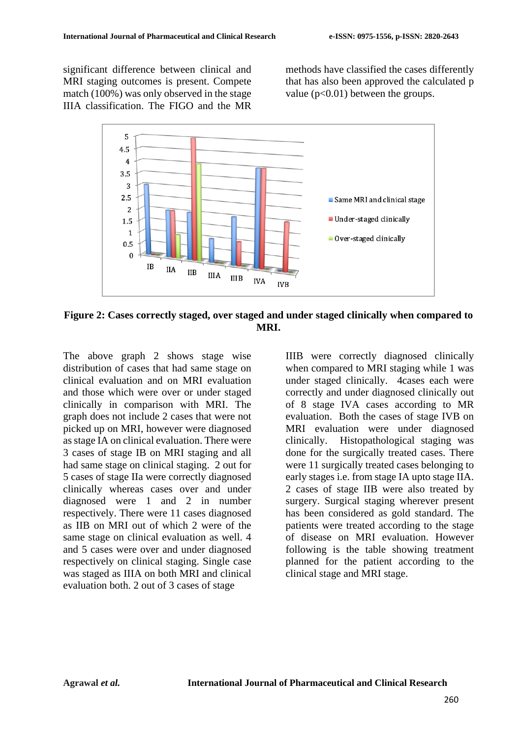significant difference between clinical and MRI staging outcomes is present. Compete match (100%) was only observed in the stage IIIA classification. The FIGO and the MR

methods have classified the cases differently that has also been approved the calculated p value  $(p<0.01)$  between the groups.



**Figure 2: Cases correctly staged, over staged and under staged clinically when compared to MRI.**

The above graph 2 shows stage wise distribution of cases that had same stage on clinical evaluation and on MRI evaluation and those which were over or under staged clinically in comparison with MRI. The graph does not include 2 cases that were not picked up on MRI, however were diagnosed as stage IA on clinical evaluation. There were 3 cases of stage IB on MRI staging and all had same stage on clinical staging. 2 out for 5 cases of stage IIa were correctly diagnosed clinically whereas cases over and under diagnosed were 1 and 2 in number respectively. There were 11 cases diagnosed as IIB on MRI out of which 2 were of the same stage on clinical evaluation as well. 4 and 5 cases were over and under diagnosed respectively on clinical staging. Single case was staged as IIIA on both MRI and clinical evaluation both. 2 out of 3 cases of stage

IIIB were correctly diagnosed clinically when compared to MRI staging while 1 was under staged clinically. 4cases each were correctly and under diagnosed clinically out of 8 stage IVA cases according to MR evaluation. Both the cases of stage IVB on MRI evaluation were under diagnosed clinically. Histopathological staging was done for the surgically treated cases. There were 11 surgically treated cases belonging to early stages i.e. from stage IA upto stage IIA. 2 cases of stage IIB were also treated by surgery. Surgical staging wherever present has been considered as gold standard. The patients were treated according to the stage of disease on MRI evaluation. However following is the table showing treatment planned for the patient according to the clinical stage and MRI stage.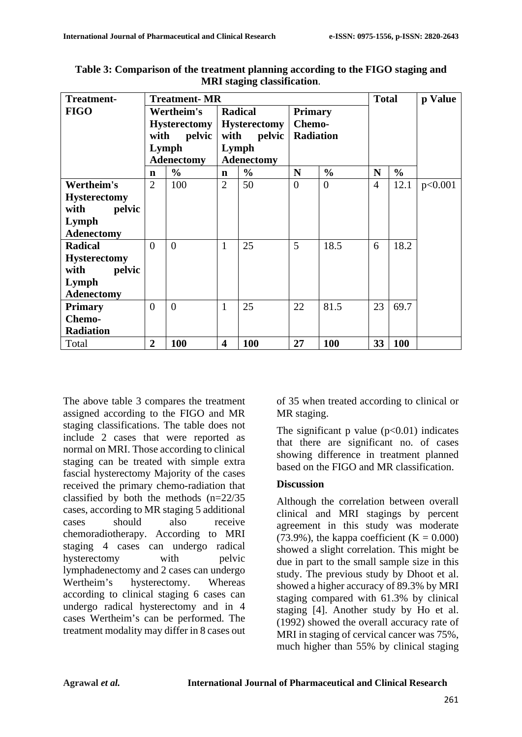| <b>Treatment-</b>   | <b>Treatment-MR</b><br><b>Total</b> |                |                                |               |                          |                |                | p Value       |         |
|---------------------|-------------------------------------|----------------|--------------------------------|---------------|--------------------------|----------------|----------------|---------------|---------|
| <b>FIGO</b>         | Wertheim's<br><b>Hysterectomy</b>   |                | Radical<br><b>Hysterectomy</b> |               | <b>Primary</b><br>Chemo- |                |                |               |         |
|                     |                                     |                |                                |               |                          |                |                |               |         |
|                     | with<br>pelvic                      |                | pelvic<br>with                 |               | <b>Radiation</b>         |                |                |               |         |
|                     | Lymph                               |                | Lymph                          |               |                          |                |                |               |         |
|                     | <b>Adenectomy</b>                   |                | <b>Adenectomy</b>              |               |                          |                |                |               |         |
|                     | $\mathbf n$                         | $\frac{0}{0}$  | $\mathbf n$                    | $\frac{0}{0}$ | N                        | $\frac{0}{0}$  | N              | $\frac{0}{0}$ |         |
| Wertheim's          | 2                                   | 100            | $\overline{2}$                 | 50            | $\overline{0}$           | $\overline{0}$ | $\overline{4}$ | 12.1          | p<0.001 |
| <b>Hysterectomy</b> |                                     |                |                                |               |                          |                |                |               |         |
| pelvic<br>with      |                                     |                |                                |               |                          |                |                |               |         |
| Lymph               |                                     |                |                                |               |                          |                |                |               |         |
| <b>Adenectomy</b>   |                                     |                |                                |               |                          |                |                |               |         |
| <b>Radical</b>      | $\Omega$                            | $\overline{0}$ | $\mathbf{1}$                   | 25            | 5                        | 18.5           | 6              | 18.2          |         |
| <b>Hysterectomy</b> |                                     |                |                                |               |                          |                |                |               |         |
| with<br>pelvic      |                                     |                |                                |               |                          |                |                |               |         |
| Lymph               |                                     |                |                                |               |                          |                |                |               |         |
| <b>Adenectomy</b>   |                                     |                |                                |               |                          |                |                |               |         |
| <b>Primary</b>      | $\Omega$                            | $\Omega$       | $\mathbf{1}$                   | 25            | 22                       | 81.5           | 23             | 69.7          |         |
| Chemo-              |                                     |                |                                |               |                          |                |                |               |         |
| <b>Radiation</b>    |                                     |                |                                |               |                          |                |                |               |         |
| Total               | $\overline{2}$                      | 100            | $\overline{\mathbf{4}}$        | 100           | 27                       | <b>100</b>     | 33             | 100           |         |

**Table 3: Comparison of the treatment planning according to the FIGO staging and MRI staging classification**.

The above table 3 compares the treatment assigned according to the FIGO and MR staging classifications. The table does not include 2 cases that were reported as normal on MRI. Those according to clinical staging can be treated with simple extra fascial hysterectomy Majority of the cases received the primary chemo-radiation that classified by both the methods (n=22/35 cases, according to MR staging 5 additional cases should also receive chemoradiotherapy. According to MRI staging 4 cases can undergo radical hysterectomy with pelvic lymphadenectomy and 2 cases can undergo Wertheim's hysterectomy. Whereas according to clinical staging 6 cases can undergo radical hysterectomy and in 4 cases Wertheim's can be performed. The treatment modality may differ in 8 cases out

of 35 when treated according to clinical or MR staging.

The significant p value  $(p<0.01)$  indicates that there are significant no. of cases showing difference in treatment planned based on the FIGO and MR classification.

#### **Discussion**

Although the correlation between overall clinical and MRI stagings by percent agreement in this study was moderate (73.9%), the kappa coefficient  $(K = 0.000)$ showed a slight correlation. This might be due in part to the small sample size in this study. The previous study by Dhoot et al. showed a higher accuracy of 89.3% by MRI staging compared with 61.3% by clinical staging [4]. Another study by Ho et al. (1992) showed the overall accuracy rate of MRI in staging of cervical cancer was 75%, much higher than 55% by clinical staging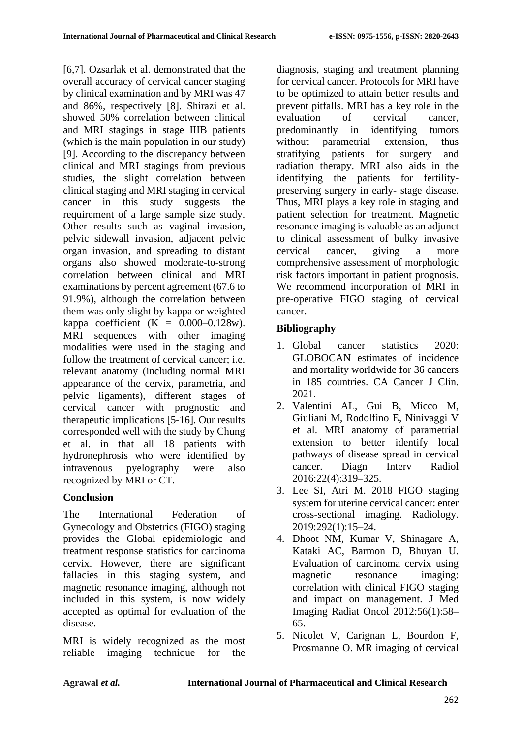[6,7]. Ozsarlak et al. demonstrated that the overall accuracy of cervical cancer staging by clinical examination and by MRI was 47 and 86%, respectively [8]. Shirazi et al. showed 50% correlation between clinical and MRI stagings in stage IIIB patients (which is the main population in our study) [9]. According to the discrepancy between clinical and MRI stagings from previous studies, the slight correlation between clinical staging and MRI staging in cervical cancer in this study suggests the requirement of a large sample size study. Other results such as vaginal invasion, pelvic sidewall invasion, adjacent pelvic organ invasion, and spreading to distant organs also showed moderate-to-strong correlation between clinical and MRI examinations by percent agreement (67.6 to 91.9%), although the correlation between them was only slight by kappa or weighted kappa coefficient  $(K = 0.000-0.128w)$ . MRI sequences with other imaging modalities were used in the staging and follow the treatment of cervical cancer; i.e. relevant anatomy (including normal MRI appearance of the cervix, parametria, and pelvic ligaments), different stages of cervical cancer with prognostic and therapeutic implications [5-16]. Our results corresponded well with the study by Chung et al. in that all 18 patients with hydronephrosis who were identified by intravenous pyelography were also recognized by MRI or CT.

# **Conclusion**

The International Federation of Gynecology and Obstetrics (FIGO) staging provides the Global epidemiologic and treatment response statistics for carcinoma cervix. However, there are significant fallacies in this staging system, and magnetic resonance imaging, although not included in this system, is now widely accepted as optimal for evaluation of the disease.

MRI is widely recognized as the most reliable imaging technique for the

diagnosis, staging and treatment planning for cervical cancer. Protocols for MRI have to be optimized to attain better results and prevent pitfalls. MRI has a key role in the evaluation of cervical cancer, predominantly in identifying tumors without parametrial extension, thus stratifying patients for surgery and radiation therapy. MRI also aids in the identifying the patients for fertilitypreserving surgery in early- stage disease. Thus, MRI plays a key role in staging and patient selection for treatment. Magnetic resonance imaging is valuable as an adjunct to clinical assessment of bulky invasive cervical cancer, giving a more comprehensive assessment of morphologic risk factors important in patient prognosis. We recommend incorporation of MRI in pre-operative FIGO staging of cervical cancer.

# **Bibliography**

- 1. Global cancer statistics 2020: GLOBOCAN estimates of incidence and mortality worldwide for 36 cancers in 185 countries. CA Cancer J Clin. 2021.
- 2. Valentini AL, Gui B, Micco M, Giuliani M, Rodolfino E, Ninivaggi V et al. MRI anatomy of parametrial extension to better identify local pathways of disease spread in cervical cancer. Diagn Interv Radiol 2016:22(4):319–325.
- 3. Lee SI, Atri M. 2018 FIGO staging system for uterine cervical cancer: enter cross-sectional imaging. Radiology. 2019:292(1):15–24.
- 4. Dhoot NM, Kumar V, Shinagare A, Kataki AC, Barmon D, Bhuyan U. Evaluation of carcinoma cervix using magnetic resonance imaging: correlation with clinical FIGO staging and impact on management. J Med Imaging Radiat Oncol 2012:56(1):58– 65.
- 5. Nicolet V, Carignan L, Bourdon F, Prosmanne O. MR imaging of cervical